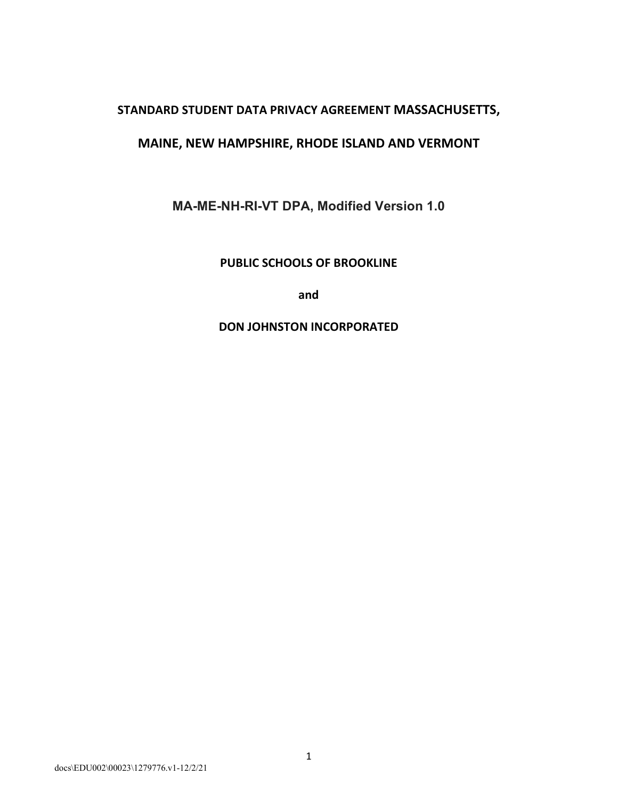#### **STANDARD STUDENT DATA PRIVACY AGREEMENT MASSACHUSETTS,**

#### **MAINE, NEW HAMPSHIRE, RHODE ISLAND AND VERMONT**

**MA-ME-NH-RI-VT DPA, Modified Version 1.0**

**PUBLIC SCHOOLS OF BROOKLINE** 

**and** 

**DON JOHNSTON INCORPORATED**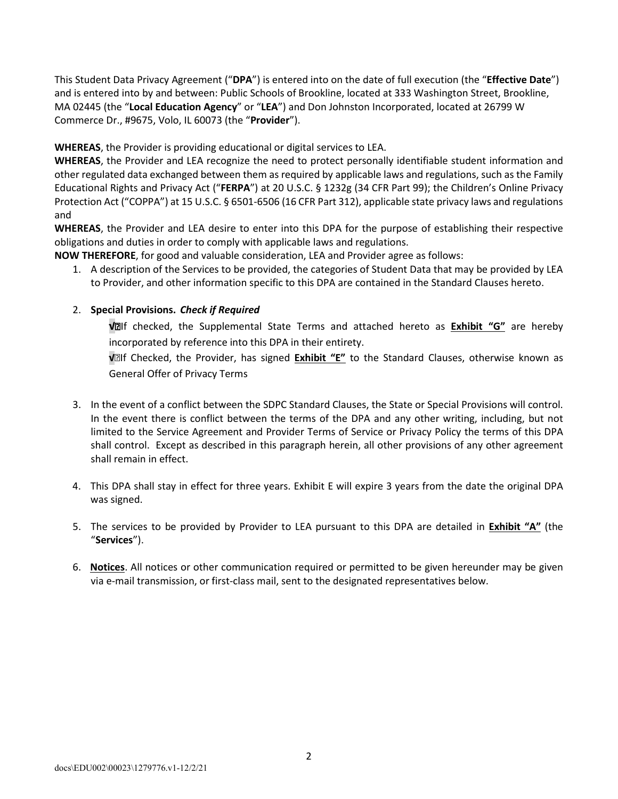This Student Data Privacy Agreement ("**DPA**") is entered into on the date of full execution (the "**Effective Date**") and is entered into by and between: Public Schools of Brookline, located at 333 Washington Street, Brookline, MA 02445 (the "**Local Education Agency**" or "**LEA**") and Don Johnston Incorporated, located at 26799 W Commerce Dr., #9675, Volo, IL 60073 (the "**Provider**").

**WHEREAS**, the Provider is providing educational or digital services to LEA.

**WHEREAS**, the Provider and LEA recognize the need to protect personally identifiable student information and other regulated data exchanged between them as required by applicable laws and regulations, such as the Family Educational Rights and Privacy Act ("**FERPA**") at 20 U.S.C. § 1232g (34 CFR Part 99); the Children's Online Privacy Protection Act ("COPPA") at 15 U.S.C. § 6501-6506 (16 CFR Part 312), applicable state privacy laws and regulations and

**WHEREAS**, the Provider and LEA desire to enter into this DPA for the purpose of establishing their respective obligations and duties in order to comply with applicable laws and regulations.

**NOW THEREFORE**, for good and valuable consideration, LEA and Provider agree as follows:

1. A description of the Services to be provided, the categories of Student Data that may be provided by LEA to Provider, and other information specific to this DPA are contained in the Standard Clauses hereto.

#### 2. **Special Provisions.** *Check if Required*

**√**If checked, the Supplemental State Terms and attached hereto as **Exhibit "G"** are hereby incorporated by reference into this DPA in their entirety.

**√**If Checked, the Provider, has signed **Exhibit "E"** to the Standard Clauses, otherwise known as General Offer of Privacy Terms

- 3. In the event of a conflict between the SDPC Standard Clauses, the State or Special Provisions will control. In the event there is conflict between the terms of the DPA and any other writing, including, but not limited to the Service Agreement and Provider Terms of Service or Privacy Policy the terms of this DPA shall control. Except as described in this paragraph herein, all other provisions of any other agreement shall remain in effect.
- 4. This DPA shall stay in effect for three years. Exhibit E will expire 3 years from the date the original DPA was signed.
- 5. The services to be provided by Provider to LEA pursuant to this DPA are detailed in **Exhibit "A"** (the "**Services**").
- 6. **Notices**. All notices or other communication required or permitted to be given hereunder may be given via e-mail transmission, or first-class mail, sent to the designated representatives below.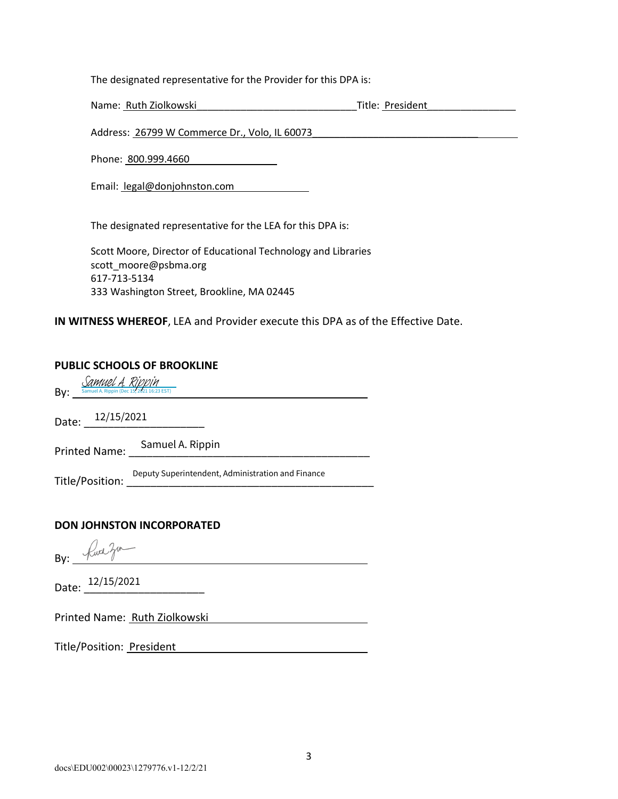The designated representative for the Provider for this DPA is:

Name: <u>Ruth Ziolkowski</u><br>
Title: President

Address: 26799 W Commerce Dr., Volo, IL 60073

Phone: 800.999.4660

Email: legal@donjohnston.com

The designated representative for the LEA for this DPA is:

Scott Moore, Director of Educational Technology and Libraries scott\_moore@psbma.org 617-713-5134 333 Washington Street, Brookline, MA 02445

**IN WITNESS WHEREOF**, LEA and Provider execute this DPA as of the Effective Date.

#### **PUBLIC SCHOOLS OF BROOKLINE**

By: Samuel A. RIPPIN<br>Samuel A. Rippin (Dec 15, 2021 16:23 EST)

Date: \_\_\_\_\_\_\_\_\_\_\_\_\_\_\_\_\_\_\_\_ 12/15/2021

Printed Name: \_\_\_\_\_\_\_\_\_\_\_\_\_\_\_\_\_\_\_\_\_\_\_\_\_\_\_\_\_\_\_\_\_\_\_\_\_\_\_\_ Samuel A. Rippin

Title/Position: \_\_\_\_\_\_\_\_\_\_\_\_\_\_\_\_\_\_\_\_\_\_\_\_\_\_\_\_\_\_\_\_\_\_\_\_\_\_\_\_\_ Deputy Superintendent, Administration and Finance

#### **DON JOHNSTON INCORPORATED**

 $By:$  funct  $\gamma w$ 

Date: <u>12/15/2021</u><br>Date: <u>\_\_\_\_\_\_\_\_\_\_\_\_\_\_\_\_\_\_\_\_\_\_\_\_\_\_</u>

Printed Name: Ruth Ziolkowski

Title/Position: President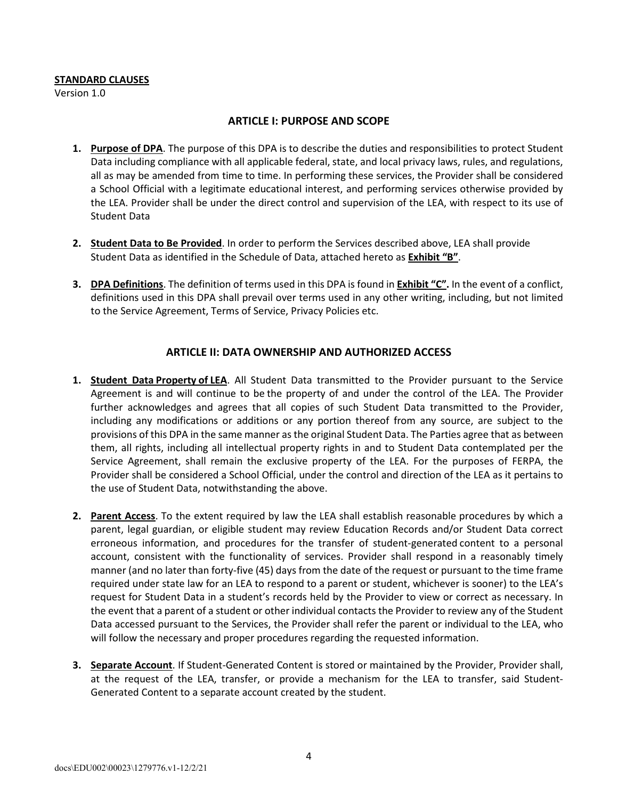#### **STANDARD CLAUSES**

Version 1.0

#### **ARTICLE I: PURPOSE AND SCOPE**

- **1. Purpose of DPA**. The purpose of this DPA is to describe the duties and responsibilities to protect Student Data including compliance with all applicable federal, state, and local privacy laws, rules, and regulations, all as may be amended from time to time. In performing these services, the Provider shall be considered a School Official with a legitimate educational interest, and performing services otherwise provided by the LEA. Provider shall be under the direct control and supervision of the LEA, with respect to its use of Student Data
- **2. Student Data to Be Provided**. In order to perform the Services described above, LEA shall provide Student Data as identified in the Schedule of Data, attached hereto as **Exhibit "B"**.
- **3. DPA Definitions**. The definition of terms used in this DPA is found in **Exhibit "C".** In the event of a conflict, definitions used in this DPA shall prevail over terms used in any other writing, including, but not limited to the Service Agreement, Terms of Service, Privacy Policies etc.

#### **ARTICLE II: DATA OWNERSHIP AND AUTHORIZED ACCESS**

- **1. Student Data Property of LEA**. All Student Data transmitted to the Provider pursuant to the Service Agreement is and will continue to be the property of and under the control of the LEA. The Provider further acknowledges and agrees that all copies of such Student Data transmitted to the Provider, including any modifications or additions or any portion thereof from any source, are subject to the provisions of this DPA in the same manner as the original Student Data. The Parties agree that as between them, all rights, including all intellectual property rights in and to Student Data contemplated per the Service Agreement, shall remain the exclusive property of the LEA. For the purposes of FERPA, the Provider shall be considered a School Official, under the control and direction of the LEA as it pertains to the use of Student Data, notwithstanding the above.
- **2. Parent Access**. To the extent required by law the LEA shall establish reasonable procedures by which a parent, legal guardian, or eligible student may review Education Records and/or Student Data correct erroneous information, and procedures for the transfer of student-generated content to a personal account, consistent with the functionality of services. Provider shall respond in a reasonably timely manner (and no later than forty-five (45) days from the date of the request or pursuant to the time frame required under state law for an LEA to respond to a parent or student, whichever is sooner) to the LEA's request for Student Data in a student's records held by the Provider to view or correct as necessary. In the event that a parent of a student or other individual contacts the Provider to review any of the Student Data accessed pursuant to the Services, the Provider shall refer the parent or individual to the LEA, who will follow the necessary and proper procedures regarding the requested information.
- **3. Separate Account**. If Student-Generated Content is stored or maintained by the Provider, Provider shall, at the request of the LEA, transfer, or provide a mechanism for the LEA to transfer, said Student-Generated Content to a separate account created by the student.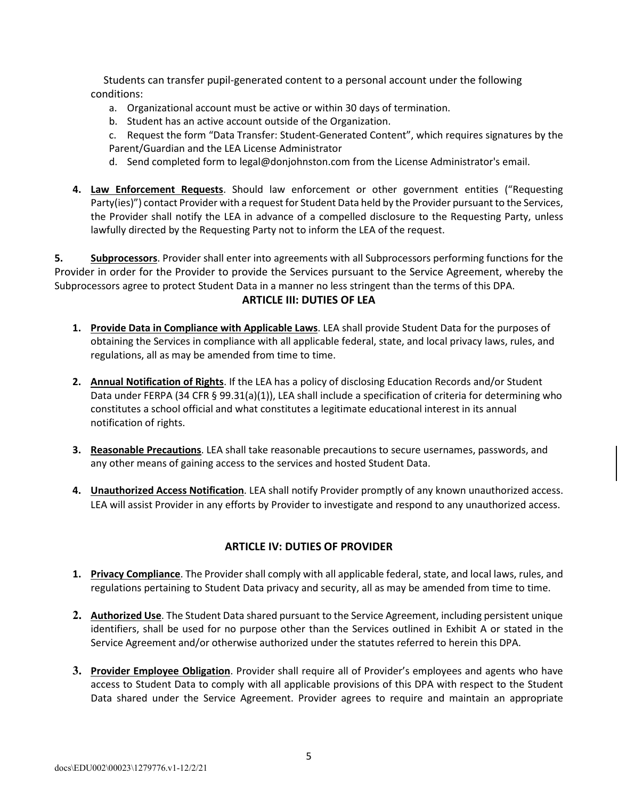Students can transfer pupil-generated content to a personal account under the following conditions:

- a. Organizational account must be active or within 30 days of termination.
- b. Student has an active account outside of the Organization.
- c. Request the form "Data Transfer: Student-Generated Content", which requires signatures by the Parent/Guardian and the LEA License Administrator
- d. Send completed form to legal@donjohnston.com from the License Administrator's email.
- **4. Law Enforcement Requests**. Should law enforcement or other government entities ("Requesting Party(ies)") contact Provider with a request for Student Data held by the Provider pursuant to the Services, the Provider shall notify the LEA in advance of a compelled disclosure to the Requesting Party, unless lawfully directed by the Requesting Party not to inform the LEA of the request.

**5. Subprocessors**. Provider shall enter into agreements with all Subprocessors performing functions for the Provider in order for the Provider to provide the Services pursuant to the Service Agreement, whereby the Subprocessors agree to protect Student Data in a manner no less stringent than the terms of this DPA.

#### **ARTICLE III: DUTIES OF LEA**

- **1. Provide Data in Compliance with Applicable Laws**. LEA shall provide Student Data for the purposes of obtaining the Services in compliance with all applicable federal, state, and local privacy laws, rules, and regulations, all as may be amended from time to time.
- **2. Annual Notification of Rights**. If the LEA has a policy of disclosing Education Records and/or Student Data under FERPA (34 CFR § 99.31(a)(1)), LEA shall include a specification of criteria for determining who constitutes a school official and what constitutes a legitimate educational interest in its annual notification of rights.
- **3. Reasonable Precautions**. LEA shall take reasonable precautions to secure usernames, passwords, and any other means of gaining access to the services and hosted Student Data.
- **4. Unauthorized Access Notification**. LEA shall notify Provider promptly of any known unauthorized access. LEA will assist Provider in any efforts by Provider to investigate and respond to any unauthorized access.

#### **ARTICLE IV: DUTIES OF PROVIDER**

- **1. Privacy Compliance**. The Provider shall comply with all applicable federal, state, and local laws, rules, and regulations pertaining to Student Data privacy and security, all as may be amended from time to time.
- **2. Authorized Use**. The Student Data shared pursuant to the Service Agreement, including persistent unique identifiers, shall be used for no purpose other than the Services outlined in Exhibit A or stated in the Service Agreement and/or otherwise authorized under the statutes referred to herein this DPA.
- **3. Provider Employee Obligation**. Provider shall require all of Provider's employees and agents who have access to Student Data to comply with all applicable provisions of this DPA with respect to the Student Data shared under the Service Agreement. Provider agrees to require and maintain an appropriate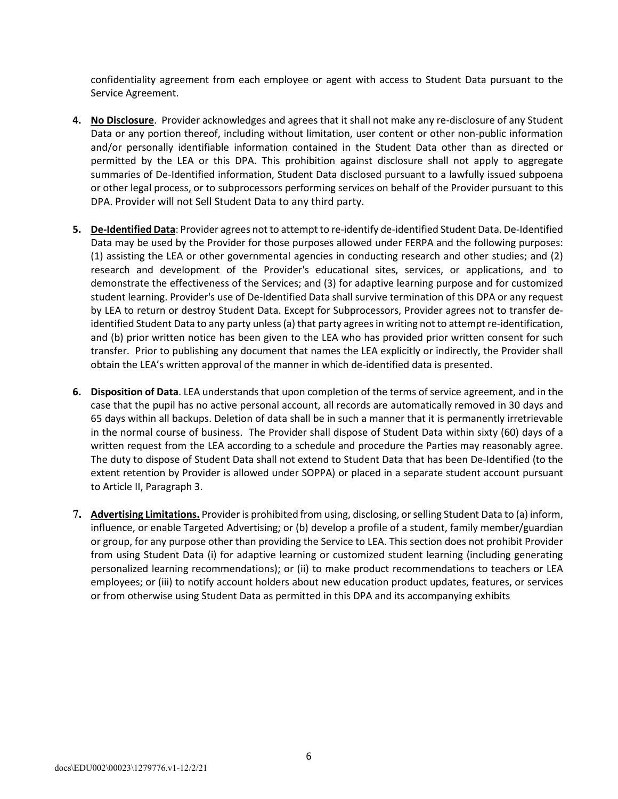confidentiality agreement from each employee or agent with access to Student Data pursuant to the Service Agreement.

- **4. No Disclosure**. Provider acknowledges and agrees that it shall not make any re-disclosure of any Student Data or any portion thereof, including without limitation, user content or other non-public information and/or personally identifiable information contained in the Student Data other than as directed or permitted by the LEA or this DPA. This prohibition against disclosure shall not apply to aggregate summaries of De-Identified information, Student Data disclosed pursuant to a lawfully issued subpoena or other legal process, or to subprocessors performing services on behalf of the Provider pursuant to this DPA. Provider will not Sell Student Data to any third party.
- **5. De-Identified Data**: Provider agrees not to attempt to re-identify de-identified Student Data. De-Identified Data may be used by the Provider for those purposes allowed under FERPA and the following purposes: (1) assisting the LEA or other governmental agencies in conducting research and other studies; and (2) research and development of the Provider's educational sites, services, or applications, and to demonstrate the effectiveness of the Services; and (3) for adaptive learning purpose and for customized student learning. Provider's use of De-Identified Data shall survive termination of this DPA or any request by LEA to return or destroy Student Data. Except for Subprocessors, Provider agrees not to transfer deidentified Student Data to any party unless (a) that party agrees in writing not to attempt re-identification, and (b) prior written notice has been given to the LEA who has provided prior written consent for such transfer. Prior to publishing any document that names the LEA explicitly or indirectly, the Provider shall obtain the LEA's written approval of the manner in which de-identified data is presented.
- **6. Disposition of Data**. LEA understands that upon completion of the terms of service agreement, and in the case that the pupil has no active personal account, all records are automatically removed in 30 days and 65 days within all backups. Deletion of data shall be in such a manner that it is permanently irretrievable in the normal course of business. The Provider shall dispose of Student Data within sixty (60) days of a written request from the LEA according to a schedule and procedure the Parties may reasonably agree. The duty to dispose of Student Data shall not extend to Student Data that has been De-Identified (to the extent retention by Provider is allowed under SOPPA) or placed in a separate student account pursuant to Article II, Paragraph 3.
- **7. Advertising Limitations.** Provider is prohibited from using, disclosing, or selling Student Data to (a) inform, influence, or enable Targeted Advertising; or (b) develop a profile of a student, family member/guardian or group, for any purpose other than providing the Service to LEA. This section does not prohibit Provider from using Student Data (i) for adaptive learning or customized student learning (including generating personalized learning recommendations); or (ii) to make product recommendations to teachers or LEA employees; or (iii) to notify account holders about new education product updates, features, or services or from otherwise using Student Data as permitted in this DPA and its accompanying exhibits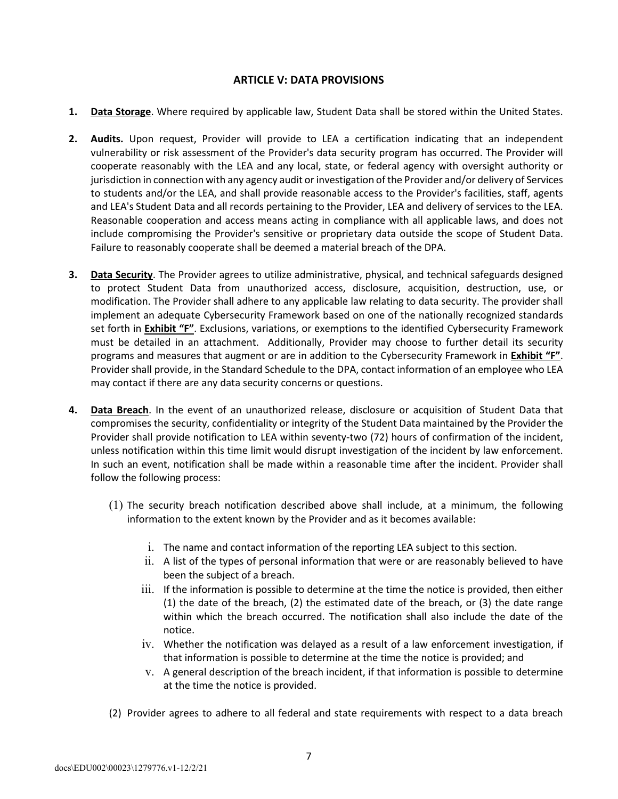#### **ARTICLE V: DATA PROVISIONS**

- **1. Data Storage**. Where required by applicable law, Student Data shall be stored within the United States.
- **2. Audits.** Upon request, Provider will provide to LEA a certification indicating that an independent vulnerability or risk assessment of the Provider's data security program has occurred. The Provider will cooperate reasonably with the LEA and any local, state, or federal agency with oversight authority or jurisdiction in connection with any agency audit or investigation of the Provider and/or delivery of Services to students and/or the LEA, and shall provide reasonable access to the Provider's facilities, staff, agents and LEA's Student Data and all records pertaining to the Provider, LEA and delivery of services to the LEA. Reasonable cooperation and access means acting in compliance with all applicable laws, and does not include compromising the Provider's sensitive or proprietary data outside the scope of Student Data. Failure to reasonably cooperate shall be deemed a material breach of the DPA.
- **3. Data Security**. The Provider agrees to utilize administrative, physical, and technical safeguards designed to protect Student Data from unauthorized access, disclosure, acquisition, destruction, use, or modification. The Provider shall adhere to any applicable law relating to data security. The provider shall implement an adequate Cybersecurity Framework based on one of the nationally recognized standards set forth in **Exhibit "F"**. Exclusions, variations, or exemptions to the identified Cybersecurity Framework must be detailed in an attachment. Additionally, Provider may choose to further detail its security programs and measures that augment or are in addition to the Cybersecurity Framework in **Exhibit "F"**. Provider shall provide, in the Standard Schedule to the DPA, contact information of an employee who LEA may contact if there are any data security concerns or questions.
- **4. Data Breach**. In the event of an unauthorized release, disclosure or acquisition of Student Data that compromises the security, confidentiality or integrity of the Student Data maintained by the Provider the Provider shall provide notification to LEA within seventy-two (72) hours of confirmation of the incident, unless notification within this time limit would disrupt investigation of the incident by law enforcement. In such an event, notification shall be made within a reasonable time after the incident. Provider shall follow the following process:
	- (1) The security breach notification described above shall include, at a minimum, the following information to the extent known by the Provider and as it becomes available:
		- i. The name and contact information of the reporting LEA subject to this section.
		- ii. A list of the types of personal information that were or are reasonably believed to have been the subject of a breach.
		- iii. If the information is possible to determine at the time the notice is provided, then either (1) the date of the breach, (2) the estimated date of the breach, or (3) the date range within which the breach occurred. The notification shall also include the date of the notice.
		- iv. Whether the notification was delayed as a result of a law enforcement investigation, if that information is possible to determine at the time the notice is provided; and
		- v. A general description of the breach incident, if that information is possible to determine at the time the notice is provided.
	- (2) Provider agrees to adhere to all federal and state requirements with respect to a data breach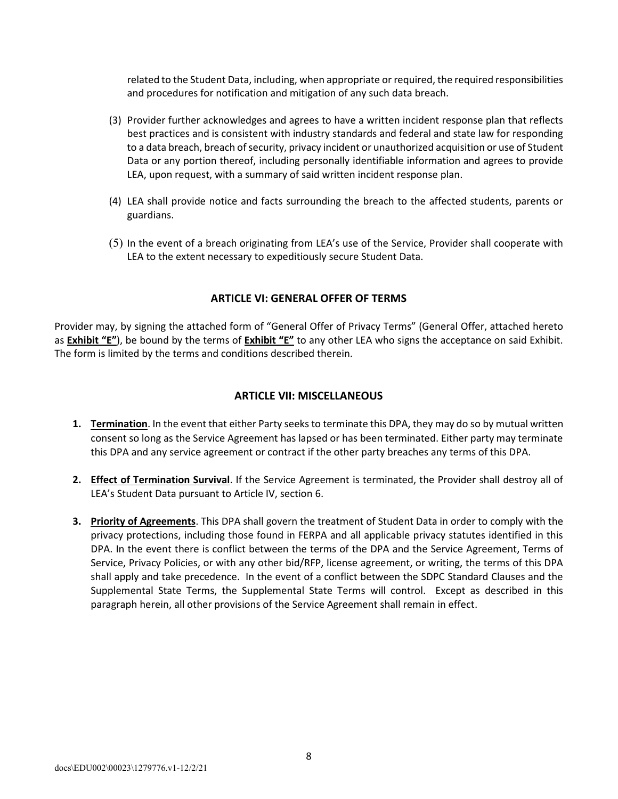related to the Student Data, including, when appropriate or required, the required responsibilities and procedures for notification and mitigation of any such data breach.

- (3) Provider further acknowledges and agrees to have a written incident response plan that reflects best practices and is consistent with industry standards and federal and state law for responding to a data breach, breach of security, privacy incident or unauthorized acquisition or use of Student Data or any portion thereof, including personally identifiable information and agrees to provide LEA, upon request, with a summary of said written incident response plan.
- (4) LEA shall provide notice and facts surrounding the breach to the affected students, parents or guardians.
- (5) In the event of a breach originating from LEA's use of the Service, Provider shall cooperate with LEA to the extent necessary to expeditiously secure Student Data.

#### **ARTICLE VI: GENERAL OFFER OF TERMS**

Provider may, by signing the attached form of "General Offer of Privacy Terms" (General Offer, attached hereto as **Exhibit "E"**), be bound by the terms of **Exhibit "E"** to any other LEA who signs the acceptance on said Exhibit. The form is limited by the terms and conditions described therein.

#### **ARTICLE VII: MISCELLANEOUS**

- **1. Termination**. In the event that either Party seeks to terminate this DPA, they may do so by mutual written consent so long as the Service Agreement has lapsed or has been terminated. Either party may terminate this DPA and any service agreement or contract if the other party breaches any terms of this DPA.
- **2. Effect of Termination Survival**. If the Service Agreement is terminated, the Provider shall destroy all of LEA's Student Data pursuant to Article IV, section 6.
- **3. Priority of Agreements**. This DPA shall govern the treatment of Student Data in order to comply with the privacy protections, including those found in FERPA and all applicable privacy statutes identified in this DPA. In the event there is conflict between the terms of the DPA and the Service Agreement, Terms of Service, Privacy Policies, or with any other bid/RFP, license agreement, or writing, the terms of this DPA shall apply and take precedence. In the event of a conflict between the SDPC Standard Clauses and the Supplemental State Terms, the Supplemental State Terms will control. Except as described in this paragraph herein, all other provisions of the Service Agreement shall remain in effect.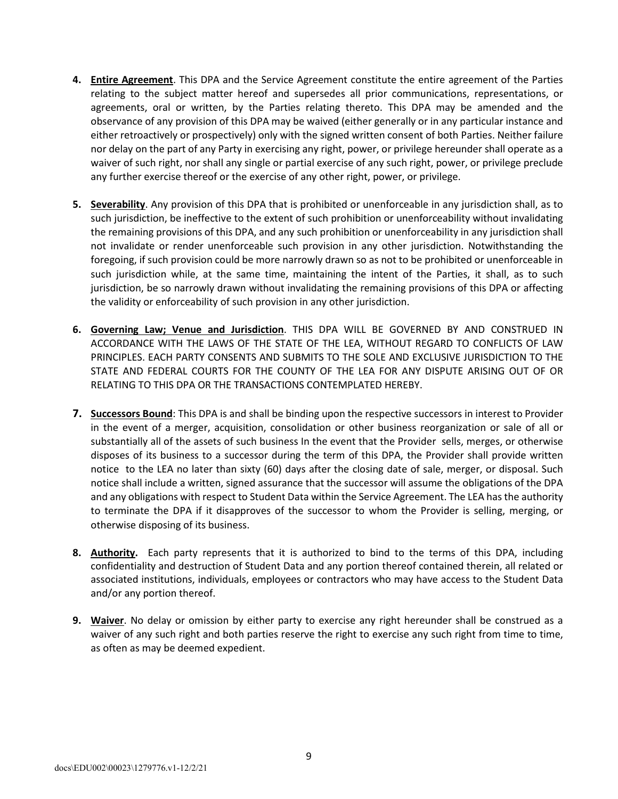- **4. Entire Agreement**. This DPA and the Service Agreement constitute the entire agreement of the Parties relating to the subject matter hereof and supersedes all prior communications, representations, or agreements, oral or written, by the Parties relating thereto. This DPA may be amended and the observance of any provision of this DPA may be waived (either generally or in any particular instance and either retroactively or prospectively) only with the signed written consent of both Parties. Neither failure nor delay on the part of any Party in exercising any right, power, or privilege hereunder shall operate as a waiver of such right, nor shall any single or partial exercise of any such right, power, or privilege preclude any further exercise thereof or the exercise of any other right, power, or privilege.
- **5. Severability**. Any provision of this DPA that is prohibited or unenforceable in any jurisdiction shall, as to such jurisdiction, be ineffective to the extent of such prohibition or unenforceability without invalidating the remaining provisions of this DPA, and any such prohibition or unenforceability in any jurisdiction shall not invalidate or render unenforceable such provision in any other jurisdiction. Notwithstanding the foregoing, if such provision could be more narrowly drawn so as not to be prohibited or unenforceable in such jurisdiction while, at the same time, maintaining the intent of the Parties, it shall, as to such jurisdiction, be so narrowly drawn without invalidating the remaining provisions of this DPA or affecting the validity or enforceability of such provision in any other jurisdiction.
- **6. Governing Law; Venue and Jurisdiction**. THIS DPA WILL BE GOVERNED BY AND CONSTRUED IN ACCORDANCE WITH THE LAWS OF THE STATE OF THE LEA, WITHOUT REGARD TO CONFLICTS OF LAW PRINCIPLES. EACH PARTY CONSENTS AND SUBMITS TO THE SOLE AND EXCLUSIVE JURISDICTION TO THE STATE AND FEDERAL COURTS FOR THE COUNTY OF THE LEA FOR ANY DISPUTE ARISING OUT OF OR RELATING TO THIS DPA OR THE TRANSACTIONS CONTEMPLATED HEREBY.
- **7. Successors Bound**: This DPA is and shall be binding upon the respective successors in interest to Provider in the event of a merger, acquisition, consolidation or other business reorganization or sale of all or substantially all of the assets of such business In the event that the Provider sells, merges, or otherwise disposes of its business to a successor during the term of this DPA, the Provider shall provide written notice to the LEA no later than sixty (60) days after the closing date of sale, merger, or disposal. Such notice shall include a written, signed assurance that the successor will assume the obligations of the DPA and any obligations with respect to Student Data within the Service Agreement. The LEA has the authority to terminate the DPA if it disapproves of the successor to whom the Provider is selling, merging, or otherwise disposing of its business.
- **8. Authority.** Each party represents that it is authorized to bind to the terms of this DPA, including confidentiality and destruction of Student Data and any portion thereof contained therein, all related or associated institutions, individuals, employees or contractors who may have access to the Student Data and/or any portion thereof.
- **9. Waiver**. No delay or omission by either party to exercise any right hereunder shall be construed as a waiver of any such right and both parties reserve the right to exercise any such right from time to time, as often as may be deemed expedient.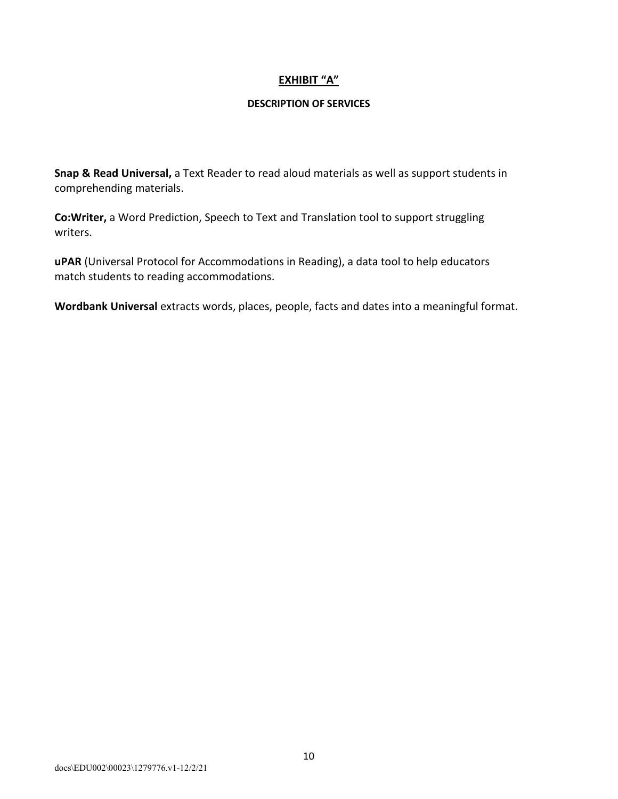#### **EXHIBIT "A"**

#### **DESCRIPTION OF SERVICES**

**Snap & Read Universal,** a Text Reader to read aloud materials as well as support students in comprehending materials.

**Co:Writer,** a Word Prediction, Speech to Text and Translation tool to support struggling writers.

**uPAR** (Universal Protocol for Accommodations in Reading), a data tool to help educators match students to reading accommodations.

**Wordbank Universal** extracts words, places, people, facts and dates into a meaningful format.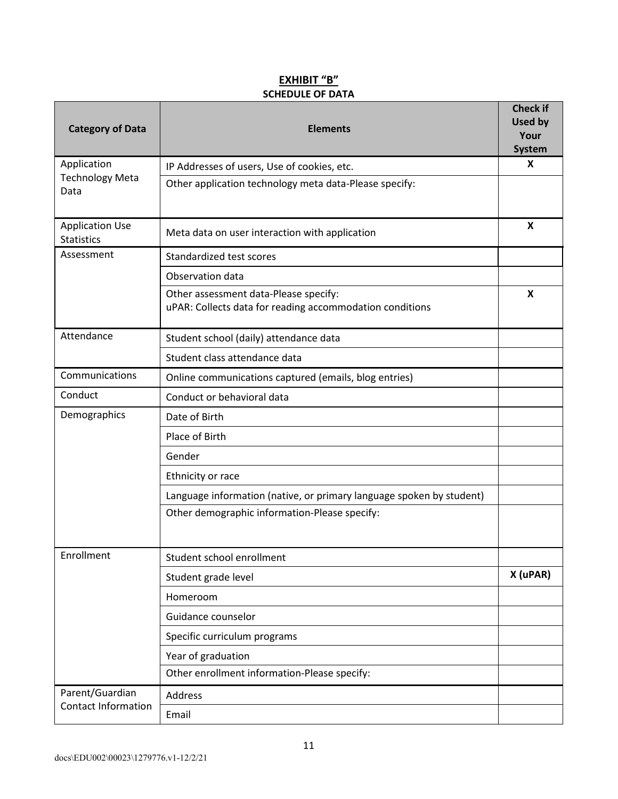#### **EXHIBIT "B" SCHEDULE OF DATA**

| <b>Category of Data</b>                     | <b>Elements</b>                                                                                   | <b>Check if</b><br><b>Used by</b><br>Your<br>System |
|---------------------------------------------|---------------------------------------------------------------------------------------------------|-----------------------------------------------------|
| Application                                 | IP Addresses of users, Use of cookies, etc.                                                       | X                                                   |
| <b>Technology Meta</b><br>Data              | Other application technology meta data-Please specify:                                            |                                                     |
| <b>Application Use</b><br><b>Statistics</b> | Meta data on user interaction with application                                                    | X                                                   |
| Assessment                                  | Standardized test scores                                                                          |                                                     |
|                                             | Observation data                                                                                  |                                                     |
|                                             | Other assessment data-Please specify:<br>uPAR: Collects data for reading accommodation conditions | X                                                   |
| Attendance                                  | Student school (daily) attendance data                                                            |                                                     |
|                                             | Student class attendance data                                                                     |                                                     |
| Communications                              | Online communications captured (emails, blog entries)                                             |                                                     |
| Conduct                                     | Conduct or behavioral data                                                                        |                                                     |
| Demographics                                | Date of Birth                                                                                     |                                                     |
|                                             | Place of Birth                                                                                    |                                                     |
|                                             | Gender                                                                                            |                                                     |
|                                             | Ethnicity or race                                                                                 |                                                     |
|                                             | Language information (native, or primary language spoken by student)                              |                                                     |
|                                             | Other demographic information-Please specify:                                                     |                                                     |
| Enrollment                                  | Student school enrollment                                                                         |                                                     |
|                                             | Student grade level                                                                               | X (uPAR)                                            |
|                                             | Homeroom                                                                                          |                                                     |
|                                             | Guidance counselor                                                                                |                                                     |
|                                             | Specific curriculum programs                                                                      |                                                     |
|                                             | Year of graduation                                                                                |                                                     |
|                                             | Other enrollment information-Please specify:                                                      |                                                     |
| Parent/Guardian                             | Address                                                                                           |                                                     |
| <b>Contact Information</b>                  | Email                                                                                             |                                                     |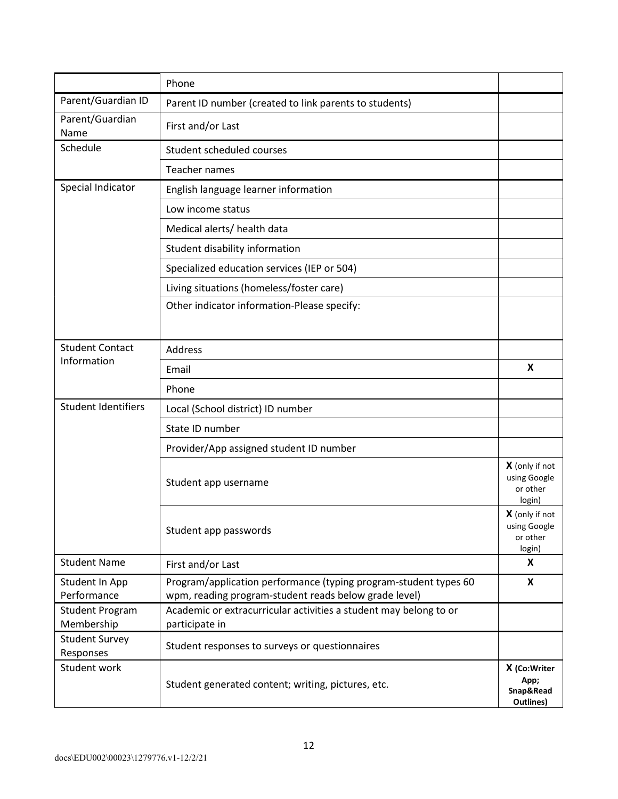|                                      | Phone                                                                                                                     |                                                             |  |
|--------------------------------------|---------------------------------------------------------------------------------------------------------------------------|-------------------------------------------------------------|--|
| Parent/Guardian ID                   | Parent ID number (created to link parents to students)                                                                    |                                                             |  |
| Parent/Guardian<br>Name              | First and/or Last                                                                                                         |                                                             |  |
| Schedule                             | Student scheduled courses                                                                                                 |                                                             |  |
|                                      | Teacher names                                                                                                             |                                                             |  |
| Special Indicator                    | English language learner information                                                                                      |                                                             |  |
|                                      | Low income status                                                                                                         |                                                             |  |
|                                      | Medical alerts/ health data                                                                                               |                                                             |  |
|                                      | Student disability information                                                                                            |                                                             |  |
|                                      | Specialized education services (IEP or 504)                                                                               |                                                             |  |
|                                      | Living situations (homeless/foster care)                                                                                  |                                                             |  |
|                                      | Other indicator information-Please specify:                                                                               |                                                             |  |
|                                      |                                                                                                                           |                                                             |  |
| <b>Student Contact</b>               | Address                                                                                                                   |                                                             |  |
| Information                          | Email                                                                                                                     | X                                                           |  |
|                                      | Phone                                                                                                                     |                                                             |  |
| <b>Student Identifiers</b>           | Local (School district) ID number                                                                                         |                                                             |  |
|                                      | State ID number                                                                                                           |                                                             |  |
|                                      | Provider/App assigned student ID number                                                                                   |                                                             |  |
|                                      | Student app username                                                                                                      | X (only if not<br>using Google<br>or other<br>login)        |  |
|                                      | Student app passwords                                                                                                     | <b>X</b> (only if not<br>using Google<br>or other<br>login) |  |
| <b>Student Name</b>                  | First and/or Last                                                                                                         | X                                                           |  |
| Student In App<br>Performance        | Program/application performance (typing program-student types 60<br>wpm, reading program-student reads below grade level) | X                                                           |  |
| <b>Student Program</b><br>Membership | Academic or extracurricular activities a student may belong to or<br>participate in                                       |                                                             |  |
| <b>Student Survey</b><br>Responses   | Student responses to surveys or questionnaires                                                                            |                                                             |  |
| Student work                         | Student generated content; writing, pictures, etc.                                                                        | X (Co:Writer<br>App;<br>Snap&Read<br>Outlines)              |  |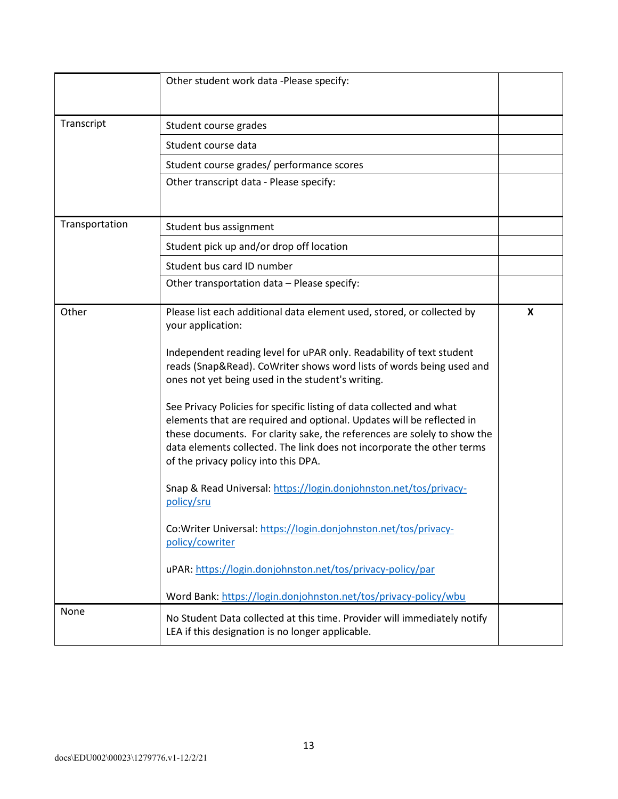|                | Other student work data -Please specify:                                                                                                                                                                                                                                                                                                    |   |
|----------------|---------------------------------------------------------------------------------------------------------------------------------------------------------------------------------------------------------------------------------------------------------------------------------------------------------------------------------------------|---|
| Transcript     | Student course grades                                                                                                                                                                                                                                                                                                                       |   |
|                | Student course data                                                                                                                                                                                                                                                                                                                         |   |
|                | Student course grades/ performance scores                                                                                                                                                                                                                                                                                                   |   |
|                | Other transcript data - Please specify:                                                                                                                                                                                                                                                                                                     |   |
| Transportation | Student bus assignment                                                                                                                                                                                                                                                                                                                      |   |
|                | Student pick up and/or drop off location                                                                                                                                                                                                                                                                                                    |   |
|                | Student bus card ID number                                                                                                                                                                                                                                                                                                                  |   |
|                | Other transportation data - Please specify:                                                                                                                                                                                                                                                                                                 |   |
| Other          | Please list each additional data element used, stored, or collected by<br>your application:                                                                                                                                                                                                                                                 | X |
|                | Independent reading level for uPAR only. Readability of text student<br>reads (Snap&Read). CoWriter shows word lists of words being used and<br>ones not yet being used in the student's writing.                                                                                                                                           |   |
|                | See Privacy Policies for specific listing of data collected and what<br>elements that are required and optional. Updates will be reflected in<br>these documents. For clarity sake, the references are solely to show the<br>data elements collected. The link does not incorporate the other terms<br>of the privacy policy into this DPA. |   |
|                | Snap & Read Universal: https://login.donjohnston.net/tos/privacy-<br>policy/sru                                                                                                                                                                                                                                                             |   |
|                | Co:Writer Universal: https://login.donjohnston.net/tos/privacy-<br>policy/cowriter                                                                                                                                                                                                                                                          |   |
|                | uPAR: https://login.donjohnston.net/tos/privacy-policy/par                                                                                                                                                                                                                                                                                  |   |
|                | Word Bank: https://login.donjohnston.net/tos/privacy-policy/wbu                                                                                                                                                                                                                                                                             |   |
| None           | No Student Data collected at this time. Provider will immediately notify<br>LEA if this designation is no longer applicable.                                                                                                                                                                                                                |   |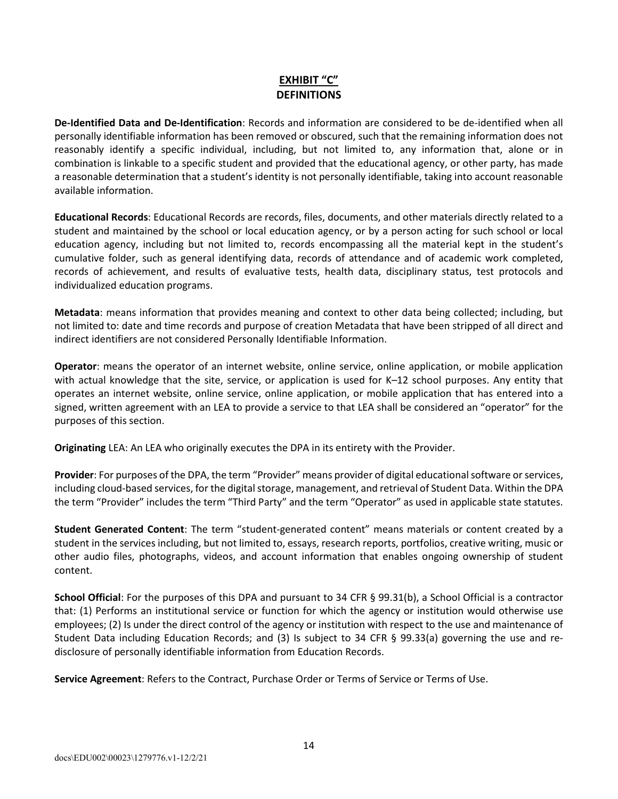#### **EXHIBIT "C" DEFINITIONS**

**De-Identified Data and De-Identification**: Records and information are considered to be de-identified when all personally identifiable information has been removed or obscured, such that the remaining information does not reasonably identify a specific individual, including, but not limited to, any information that, alone or in combination is linkable to a specific student and provided that the educational agency, or other party, has made a reasonable determination that a student's identity is not personally identifiable, taking into account reasonable available information.

**Educational Records**: Educational Records are records, files, documents, and other materials directly related to a student and maintained by the school or local education agency, or by a person acting for such school or local education agency, including but not limited to, records encompassing all the material kept in the student's cumulative folder, such as general identifying data, records of attendance and of academic work completed, records of achievement, and results of evaluative tests, health data, disciplinary status, test protocols and individualized education programs.

**Metadata**: means information that provides meaning and context to other data being collected; including, but not limited to: date and time records and purpose of creation Metadata that have been stripped of all direct and indirect identifiers are not considered Personally Identifiable Information.

**Operator**: means the operator of an internet website, online service, online application, or mobile application with actual knowledge that the site, service, or application is used for K–12 school purposes. Any entity that operates an internet website, online service, online application, or mobile application that has entered into a signed, written agreement with an LEA to provide a service to that LEA shall be considered an "operator" for the purposes of this section.

**Originating** LEA: An LEA who originally executes the DPA in its entirety with the Provider.

**Provider**: For purposes of the DPA, the term "Provider" means provider of digital educational software or services, including cloud-based services, for the digital storage, management, and retrieval of Student Data. Within the DPA the term "Provider" includes the term "Third Party" and the term "Operator" as used in applicable state statutes.

**Student Generated Content**: The term "student-generated content" means materials or content created by a student in the services including, but not limited to, essays, research reports, portfolios, creative writing, music or other audio files, photographs, videos, and account information that enables ongoing ownership of student content.

**School Official**: For the purposes of this DPA and pursuant to 34 CFR § 99.31(b), a School Official is a contractor that: (1) Performs an institutional service or function for which the agency or institution would otherwise use employees; (2) Is under the direct control of the agency or institution with respect to the use and maintenance of Student Data including Education Records; and (3) Is subject to 34 CFR § 99.33(a) governing the use and redisclosure of personally identifiable information from Education Records.

**Service Agreement**: Refers to the Contract, Purchase Order or Terms of Service or Terms of Use.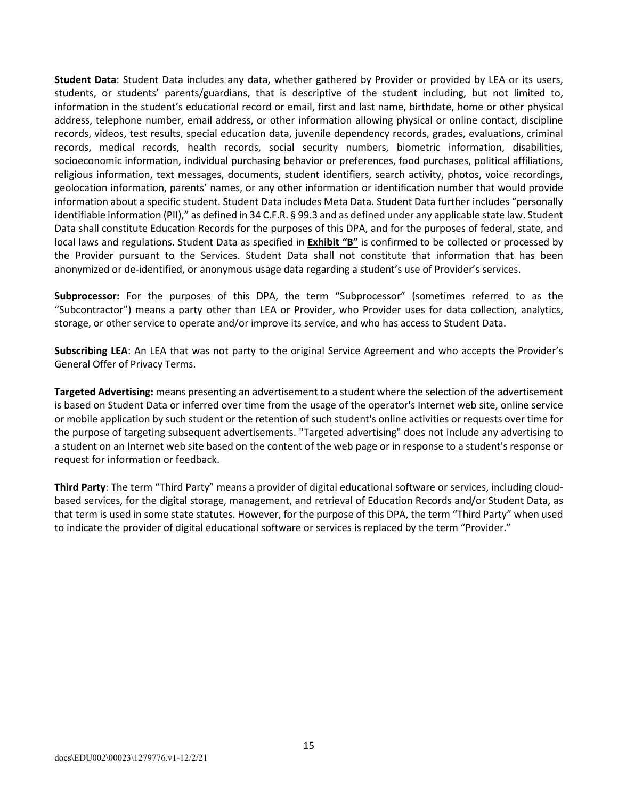**Student Data**: Student Data includes any data, whether gathered by Provider or provided by LEA or its users, students, or students' parents/guardians, that is descriptive of the student including, but not limited to, information in the student's educational record or email, first and last name, birthdate, home or other physical address, telephone number, email address, or other information allowing physical or online contact, discipline records, videos, test results, special education data, juvenile dependency records, grades, evaluations, criminal records, medical records, health records, social security numbers, biometric information, disabilities, socioeconomic information, individual purchasing behavior or preferences, food purchases, political affiliations, religious information, text messages, documents, student identifiers, search activity, photos, voice recordings, geolocation information, parents' names, or any other information or identification number that would provide information about a specific student. Student Data includes Meta Data. Student Data further includes "personally identifiable information (PII)," as defined in 34 C.F.R. § 99.3 and as defined under any applicable state law. Student Data shall constitute Education Records for the purposes of this DPA, and for the purposes of federal, state, and local laws and regulations. Student Data as specified in **Exhibit "B"** is confirmed to be collected or processed by the Provider pursuant to the Services. Student Data shall not constitute that information that has been anonymized or de-identified, or anonymous usage data regarding a student's use of Provider's services.

**Subprocessor:** For the purposes of this DPA, the term "Subprocessor" (sometimes referred to as the "Subcontractor") means a party other than LEA or Provider, who Provider uses for data collection, analytics, storage, or other service to operate and/or improve its service, and who has access to Student Data.

**Subscribing LEA**: An LEA that was not party to the original Service Agreement and who accepts the Provider's General Offer of Privacy Terms.

**Targeted Advertising:** means presenting an advertisement to a student where the selection of the advertisement is based on Student Data or inferred over time from the usage of the operator's Internet web site, online service or mobile application by such student or the retention of such student's online activities or requests over time for the purpose of targeting subsequent advertisements. "Targeted advertising" does not include any advertising to a student on an Internet web site based on the content of the web page or in response to a student's response or request for information or feedback.

**Third Party**: The term "Third Party" means a provider of digital educational software or services, including cloudbased services, for the digital storage, management, and retrieval of Education Records and/or Student Data, as that term is used in some state statutes. However, for the purpose of this DPA, the term "Third Party" when used to indicate the provider of digital educational software or services is replaced by the term "Provider."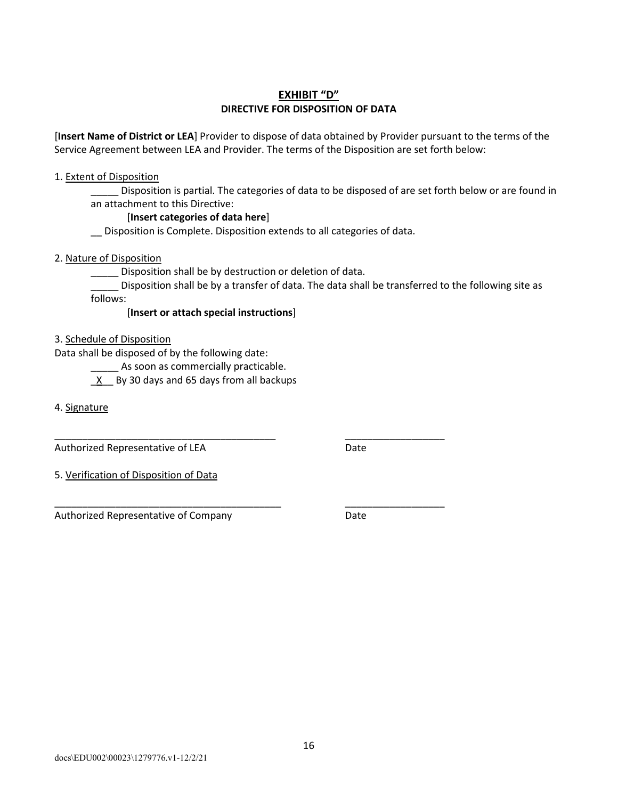#### **EXHIBIT "D" DIRECTIVE FOR DISPOSITION OF DATA**

[**Insert Name of District or LEA**] Provider to dispose of data obtained by Provider pursuant to the terms of the Service Agreement between LEA and Provider. The terms of the Disposition are set forth below:

#### 1. Extent of Disposition

Disposition is partial. The categories of data to be disposed of are set forth below or are found in an attachment to this Directive:

#### [**Insert categories of data here**]

\_\_ Disposition is Complete. Disposition extends to all categories of data.

\_\_\_\_\_\_\_\_\_\_\_\_\_\_\_\_\_\_\_\_\_\_\_\_\_\_\_\_\_\_\_\_\_\_\_\_\_\_\_\_ \_\_\_\_\_\_\_\_\_\_\_\_\_\_\_\_\_\_

\_\_\_\_\_\_\_\_\_\_\_\_\_\_\_\_\_\_\_\_\_\_\_\_\_\_\_\_\_\_\_\_\_\_\_\_\_\_\_\_\_ \_\_\_\_\_\_\_\_\_\_\_\_\_\_\_\_\_\_

#### 2. Nature of Disposition

\_\_\_\_\_ Disposition shall be by destruction or deletion of data.

\_\_\_\_\_ Disposition shall be by a transfer of data. The data shall be transferred to the following site as follows:

#### [**Insert or attach special instructions**]

#### 3. Schedule of Disposition

Data shall be disposed of by the following date:

As soon as commercially practicable.

 $X$  By 30 days and 65 days from all backups

4. Signature

Authorized Representative of LEA Date

5. Verification of Disposition of Data

Authorized Representative of Company **Date**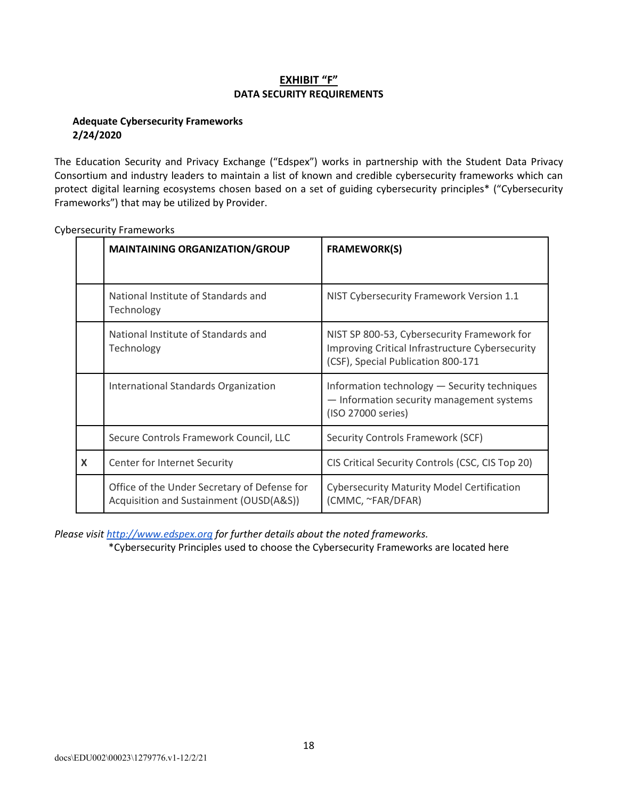#### **EXHIBIT "F" DATA SECURITY REQUIREMENTS**

#### **Adequate Cybersecurity Frameworks 2/24/2020**

The Education Security and Privacy Exchange ("Edspex") works in partnership with the Student Data Privacy Consortium and industry leaders to maintain a list of known and credible cybersecurity frameworks which can protect digital learning ecosystems chosen based on a set of guiding cybersecurity principles\* ("Cybersecurity Frameworks") that may be utilized by Provider.

|                           | <b>MAINTAINING ORGANIZATION/GROUP</b>                                                   | <b>FRAMEWORK(S)</b>                                                                                                                  |
|---------------------------|-----------------------------------------------------------------------------------------|--------------------------------------------------------------------------------------------------------------------------------------|
|                           | National Institute of Standards and<br>Technology                                       | NIST Cybersecurity Framework Version 1.1                                                                                             |
|                           | National Institute of Standards and<br>Technology                                       | NIST SP 800-53, Cybersecurity Framework for<br>Improving Critical Infrastructure Cybersecurity<br>(CSF), Special Publication 800-171 |
|                           | International Standards Organization                                                    | Information technology - Security techniques<br>- Information security management systems<br>(ISO 27000 series)                      |
|                           | Secure Controls Framework Council, LLC                                                  | Security Controls Framework (SCF)                                                                                                    |
| $\boldsymbol{\mathsf{x}}$ | Center for Internet Security                                                            | CIS Critical Security Controls (CSC, CIS Top 20)                                                                                     |
|                           | Office of the Under Secretary of Defense for<br>Acquisition and Sustainment (OUSD(A&S)) | <b>Cybersecurity Maturity Model Certification</b><br>(CMMC, ~FAR/DFAR)                                                               |

Cybersecurity Frameworks

*Please visit http://www.edspex.org for further details about the noted frameworks.*

\*Cybersecurity Principles used to choose the Cybersecurity Frameworks are located here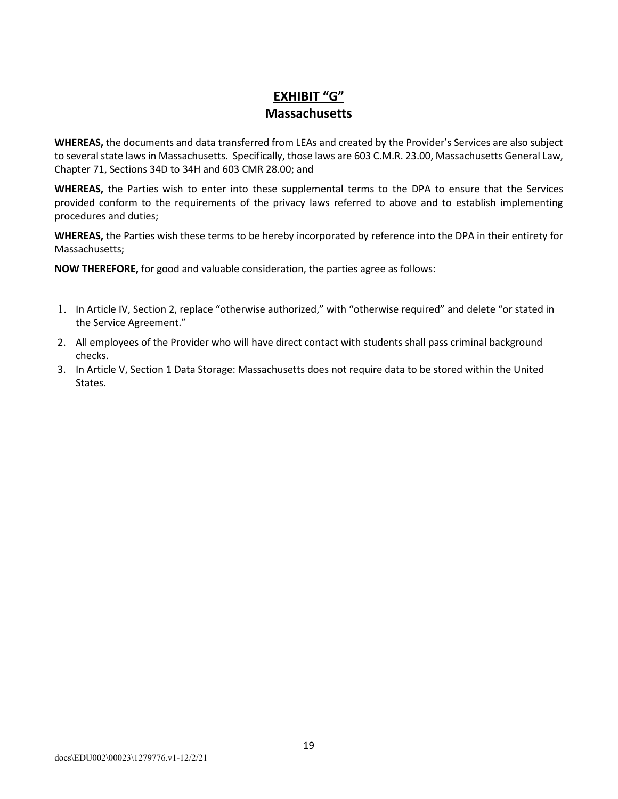## **EXHIBIT "G" Massachusetts**

**WHEREAS,** the documents and data transferred from LEAs and created by the Provider's Services are also subject to several state laws in Massachusetts. Specifically, those laws are 603 C.M.R. 23.00, Massachusetts General Law, Chapter 71, Sections 34D to 34H and 603 CMR 28.00; and

**WHEREAS,** the Parties wish to enter into these supplemental terms to the DPA to ensure that the Services provided conform to the requirements of the privacy laws referred to above and to establish implementing procedures and duties;

**WHEREAS,** the Parties wish these terms to be hereby incorporated by reference into the DPA in their entirety for Massachusetts;

- 1. In Article IV, Section 2, replace "otherwise authorized," with "otherwise required" and delete "or stated in the Service Agreement."
- 2. All employees of the Provider who will have direct contact with students shall pass criminal background checks.
- 3. In Article V, Section 1 Data Storage: Massachusetts does not require data to be stored within the United States.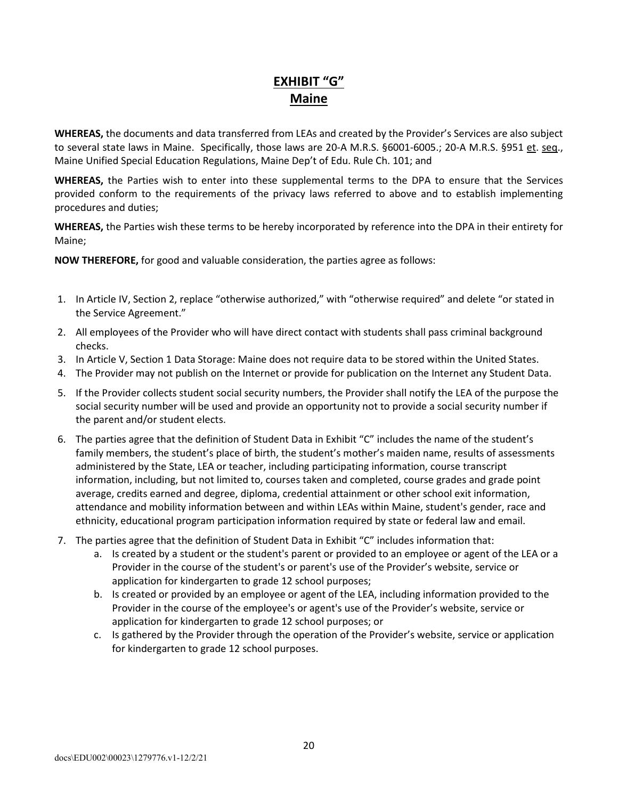## **EXHIBIT "G" Maine**

**WHEREAS,** the documents and data transferred from LEAs and created by the Provider's Services are also subject to several state laws in Maine. Specifically, those laws are 20-A M.R.S. §6001-6005.; 20-A M.R.S. §951 et. seq., Maine Unified Special Education Regulations, Maine Dep't of Edu. Rule Ch. 101; and

**WHEREAS,** the Parties wish to enter into these supplemental terms to the DPA to ensure that the Services provided conform to the requirements of the privacy laws referred to above and to establish implementing procedures and duties;

**WHEREAS,** the Parties wish these terms to be hereby incorporated by reference into the DPA in their entirety for Maine;

- 1. In Article IV, Section 2, replace "otherwise authorized," with "otherwise required" and delete "or stated in the Service Agreement."
- 2. All employees of the Provider who will have direct contact with students shall pass criminal background checks.
- 3. In Article V, Section 1 Data Storage: Maine does not require data to be stored within the United States.
- 4. The Provider may not publish on the Internet or provide for publication on the Internet any Student Data.
- 5. If the Provider collects student social security numbers, the Provider shall notify the LEA of the purpose the social security number will be used and provide an opportunity not to provide a social security number if the parent and/or student elects.
- 6. The parties agree that the definition of Student Data in Exhibit "C" includes the name of the student's family members, the student's place of birth, the student's mother's maiden name, results of assessments administered by the State, LEA or teacher, including participating information, course transcript information, including, but not limited to, courses taken and completed, course grades and grade point average, credits earned and degree, diploma, credential attainment or other school exit information, attendance and mobility information between and within LEAs within Maine, student's gender, race and ethnicity, educational program participation information required by state or federal law and email.
- 7. The parties agree that the definition of Student Data in Exhibit "C" includes information that:
	- a. Is created by a student or the student's parent or provided to an employee or agent of the LEA or a Provider in the course of the student's or parent's use of the Provider's website, service or application for kindergarten to grade 12 school purposes;
	- b. Is created or provided by an employee or agent of the LEA, including information provided to the Provider in the course of the employee's or agent's use of the Provider's website, service or application for kindergarten to grade 12 school purposes; or
	- c. Is gathered by the Provider through the operation of the Provider's website, service or application for kindergarten to grade 12 school purposes.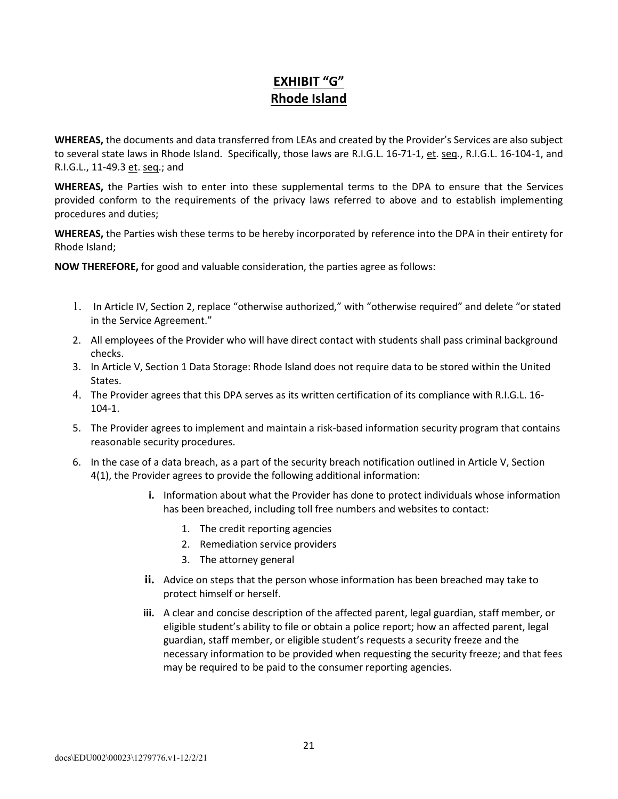### **EXHIBIT "G" Rhode Island**

**WHEREAS,** the documents and data transferred from LEAs and created by the Provider's Services are also subject to several state laws in Rhode Island. Specifically, those laws are R.I.G.L. 16-71-1, et. seq., R.I.G.L. 16-104-1, and R.I.G.L., 11-49.3 et. seq.; and

**WHEREAS,** the Parties wish to enter into these supplemental terms to the DPA to ensure that the Services provided conform to the requirements of the privacy laws referred to above and to establish implementing procedures and duties;

**WHEREAS,** the Parties wish these terms to be hereby incorporated by reference into the DPA in their entirety for Rhode Island;

- 1. In Article IV, Section 2, replace "otherwise authorized," with "otherwise required" and delete "or stated in the Service Agreement."
- 2. All employees of the Provider who will have direct contact with students shall pass criminal background checks.
- 3. In Article V, Section 1 Data Storage: Rhode Island does not require data to be stored within the United States.
- 4. The Provider agrees that this DPA serves as its written certification of its compliance with R.I.G.L. 16- 104-1.
- 5. The Provider agrees to implement and maintain a risk-based information security program that contains reasonable security procedures.
- 6. In the case of a data breach, as a part of the security breach notification outlined in Article V, Section 4(1), the Provider agrees to provide the following additional information:
	- **i.** Information about what the Provider has done to protect individuals whose information has been breached, including toll free numbers and websites to contact:
		- 1. The credit reporting agencies
		- 2. Remediation service providers
		- 3. The attorney general
	- **ii.** Advice on steps that the person whose information has been breached may take to protect himself or herself.
	- **iii.** A clear and concise description of the affected parent, legal guardian, staff member, or eligible student's ability to file or obtain a police report; how an affected parent, legal guardian, staff member, or eligible student's requests a security freeze and the necessary information to be provided when requesting the security freeze; and that fees may be required to be paid to the consumer reporting agencies.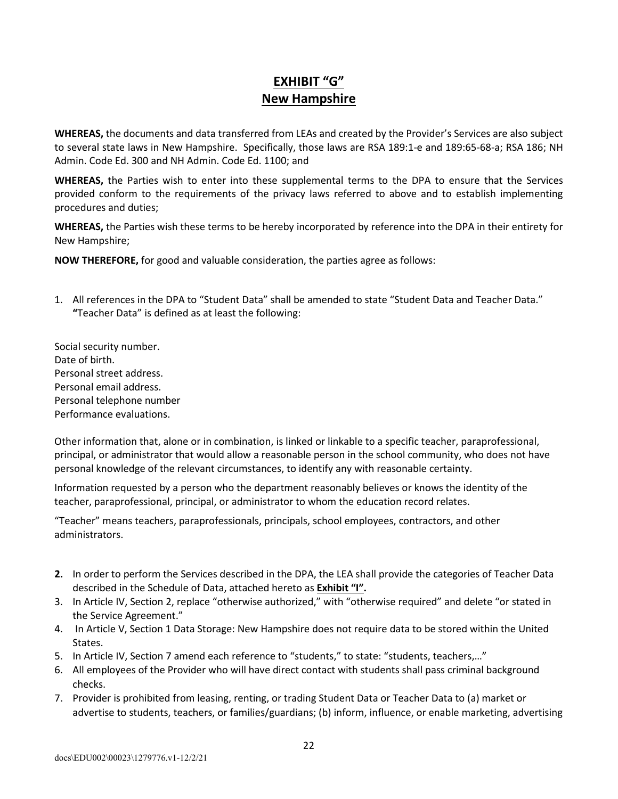### **EXHIBIT "G" New Hampshire**

**WHEREAS,** the documents and data transferred from LEAs and created by the Provider's Services are also subject to several state laws in New Hampshire. Specifically, those laws are RSA 189:1-e and 189:65-68-a; RSA 186; NH Admin. Code Ed. 300 and NH Admin. Code Ed. 1100; and

**WHEREAS,** the Parties wish to enter into these supplemental terms to the DPA to ensure that the Services provided conform to the requirements of the privacy laws referred to above and to establish implementing procedures and duties;

**WHEREAS,** the Parties wish these terms to be hereby incorporated by reference into the DPA in their entirety for New Hampshire;

**NOW THEREFORE,** for good and valuable consideration, the parties agree as follows:

- 1. All references in the DPA to "Student Data" shall be amended to state "Student Data and Teacher Data." **"**Teacher Data" is defined as at least the following:
- Social security number. Date of birth. Personal street address. Personal email address. Personal telephone number Performance evaluations.

Other information that, alone or in combination, is linked or linkable to a specific teacher, paraprofessional, principal, or administrator that would allow a reasonable person in the school community, who does not have personal knowledge of the relevant circumstances, to identify any with reasonable certainty.

Information requested by a person who the department reasonably believes or knows the identity of the teacher, paraprofessional, principal, or administrator to whom the education record relates.

"Teacher" means teachers, paraprofessionals, principals, school employees, contractors, and other administrators.

- **2.** In order to perform the Services described in the DPA, the LEA shall provide the categories of Teacher Data described in the Schedule of Data, attached hereto as **Exhibit "I".**
- 3. In Article IV, Section 2, replace "otherwise authorized," with "otherwise required" and delete "or stated in the Service Agreement."
- 4. In Article V, Section 1 Data Storage: New Hampshire does not require data to be stored within the United States.
- 5. In Article IV, Section 7 amend each reference to "students," to state: "students, teachers,…"
- 6. All employees of the Provider who will have direct contact with students shall pass criminal background checks.
- 7. Provider is prohibited from leasing, renting, or trading Student Data or Teacher Data to (a) market or advertise to students, teachers, or families/guardians; (b) inform, influence, or enable marketing, advertising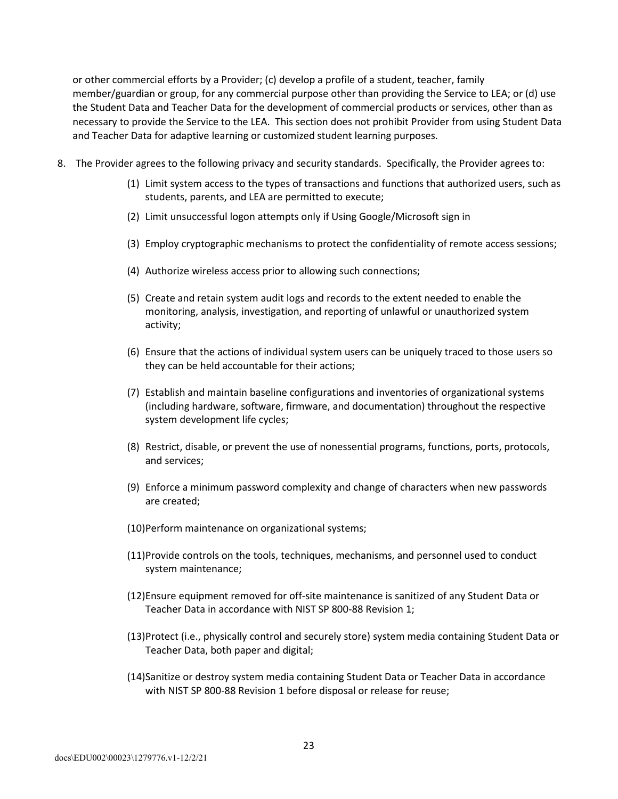or other commercial efforts by a Provider; (c) develop a profile of a student, teacher, family member/guardian or group, for any commercial purpose other than providing the Service to LEA; or (d) use the Student Data and Teacher Data for the development of commercial products or services, other than as necessary to provide the Service to the LEA. This section does not prohibit Provider from using Student Data and Teacher Data for adaptive learning or customized student learning purposes.

- 8. The Provider agrees to the following privacy and security standards. Specifically, the Provider agrees to:
	- (1) Limit system access to the types of transactions and functions that authorized users, such as students, parents, and LEA are permitted to execute;
	- (2) Limit unsuccessful logon attempts only if Using Google/Microsoft sign in
	- (3) Employ cryptographic mechanisms to protect the confidentiality of remote access sessions;
	- (4) Authorize wireless access prior to allowing such connections;
	- (5) Create and retain system audit logs and records to the extent needed to enable the monitoring, analysis, investigation, and reporting of unlawful or unauthorized system activity;
	- (6) Ensure that the actions of individual system users can be uniquely traced to those users so they can be held accountable for their actions;
	- (7) Establish and maintain baseline configurations and inventories of organizational systems (including hardware, software, firmware, and documentation) throughout the respective system development life cycles;
	- (8) Restrict, disable, or prevent the use of nonessential programs, functions, ports, protocols, and services;
	- (9) Enforce a minimum password complexity and change of characters when new passwords are created;
	- (10)Perform maintenance on organizational systems;
	- (11)Provide controls on the tools, techniques, mechanisms, and personnel used to conduct system maintenance;
	- (12)Ensure equipment removed for off-site maintenance is sanitized of any Student Data or Teacher Data in accordance with NIST SP 800-88 Revision 1;
	- (13)Protect (i.e., physically control and securely store) system media containing Student Data or Teacher Data, both paper and digital;
	- (14)Sanitize or destroy system media containing Student Data or Teacher Data in accordance with NIST SP 800-88 Revision 1 before disposal or release for reuse;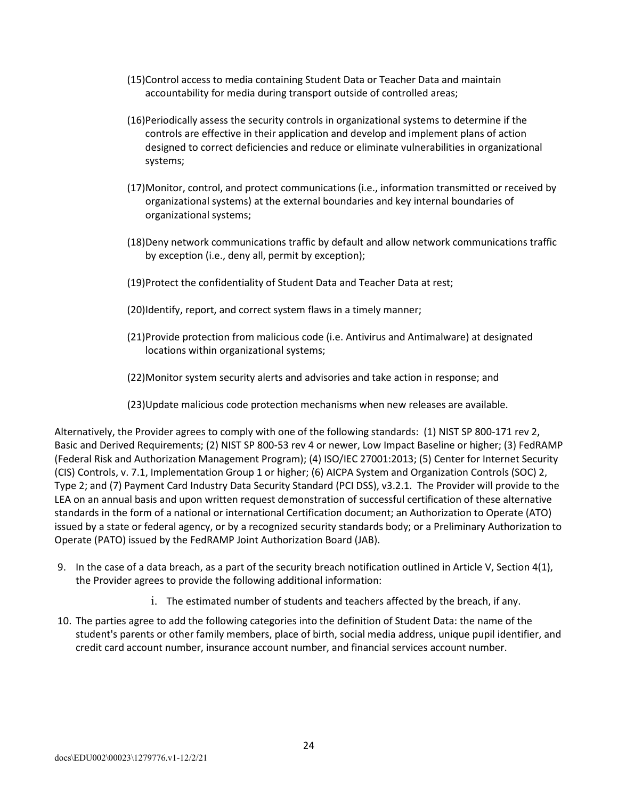- (15)Control access to media containing Student Data or Teacher Data and maintain accountability for media during transport outside of controlled areas;
- (16)Periodically assess the security controls in organizational systems to determine if the controls are effective in their application and develop and implement plans of action designed to correct deficiencies and reduce or eliminate vulnerabilities in organizational systems;
- (17)Monitor, control, and protect communications (i.e., information transmitted or received by organizational systems) at the external boundaries and key internal boundaries of organizational systems;
- (18)Deny network communications traffic by default and allow network communications traffic by exception (i.e., deny all, permit by exception);
- (19)Protect the confidentiality of Student Data and Teacher Data at rest;
- (20)Identify, report, and correct system flaws in a timely manner;
- (21)Provide protection from malicious code (i.e. Antivirus and Antimalware) at designated locations within organizational systems;
- (22)Monitor system security alerts and advisories and take action in response; and
- (23)Update malicious code protection mechanisms when new releases are available.

Alternatively, the Provider agrees to comply with one of the following standards: (1) NIST SP 800-171 rev 2, Basic and Derived Requirements; (2) NIST SP 800-53 rev 4 or newer, Low Impact Baseline or higher; (3) FedRAMP (Federal Risk and Authorization Management Program); (4) ISO/IEC 27001:2013; (5) Center for Internet Security (CIS) Controls, v. 7.1, Implementation Group 1 or higher; (6) AICPA System and Organization Controls (SOC) 2, Type 2; and (7) Payment Card Industry Data Security Standard (PCI DSS), v3.2.1. The Provider will provide to the LEA on an annual basis and upon written request demonstration of successful certification of these alternative standards in the form of a national or international Certification document; an Authorization to Operate (ATO) issued by a state or federal agency, or by a recognized security standards body; or a Preliminary Authorization to Operate (PATO) issued by the FedRAMP Joint Authorization Board (JAB).

- 9. In the case of a data breach, as a part of the security breach notification outlined in Article V, Section 4(1), the Provider agrees to provide the following additional information:
	- i. The estimated number of students and teachers affected by the breach, if any.
- 10. The parties agree to add the following categories into the definition of Student Data: the name of the student's parents or other family members, place of birth, social media address, unique pupil identifier, and credit card account number, insurance account number, and financial services account number.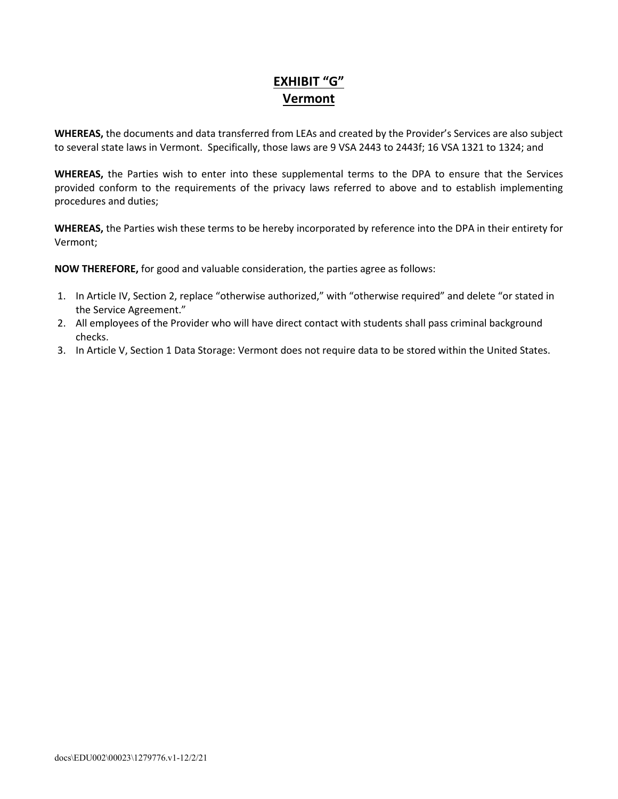## **EXHIBIT "G" Vermont**

**WHEREAS,** the documents and data transferred from LEAs and created by the Provider's Services are also subject to several state laws in Vermont. Specifically, those laws are 9 VSA 2443 to 2443f; 16 VSA 1321 to 1324; and

**WHEREAS,** the Parties wish to enter into these supplemental terms to the DPA to ensure that the Services provided conform to the requirements of the privacy laws referred to above and to establish implementing procedures and duties;

**WHEREAS,** the Parties wish these terms to be hereby incorporated by reference into the DPA in their entirety for Vermont;

- 1. In Article IV, Section 2, replace "otherwise authorized," with "otherwise required" and delete "or stated in the Service Agreement."
- 2. All employees of the Provider who will have direct contact with students shall pass criminal background checks.
- 3. In Article V, Section 1 Data Storage: Vermont does not require data to be stored within the United States.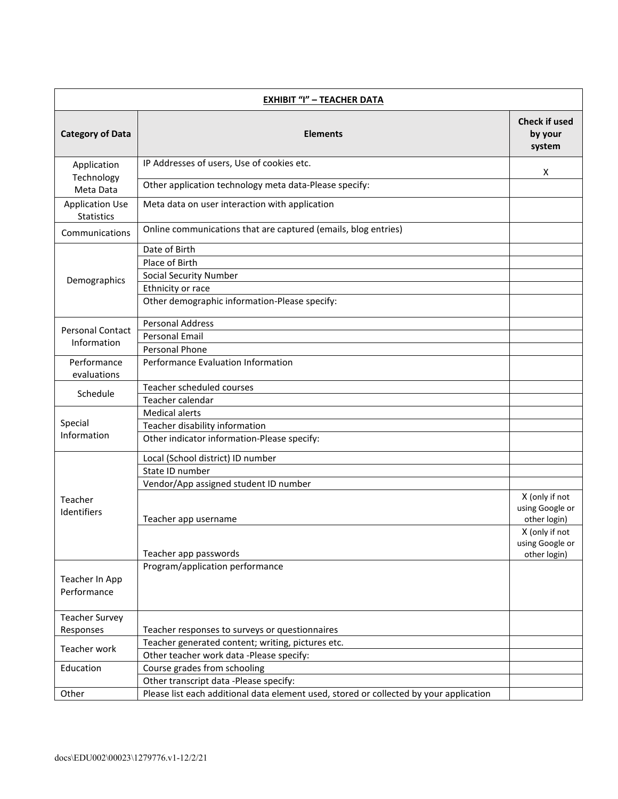| <b>EXHIBIT "I" - TEACHER DATA</b>           |                                                                                                        |                                                   |
|---------------------------------------------|--------------------------------------------------------------------------------------------------------|---------------------------------------------------|
| <b>Category of Data</b>                     | <b>Elements</b>                                                                                        | <b>Check if used</b><br>by your<br>system         |
| Application<br>Technology<br>Meta Data      | IP Addresses of users, Use of cookies etc.                                                             | X                                                 |
|                                             | Other application technology meta data-Please specify:                                                 |                                                   |
| <b>Application Use</b><br><b>Statistics</b> | Meta data on user interaction with application                                                         |                                                   |
| Communications                              | Online communications that are captured (emails, blog entries)                                         |                                                   |
| Demographics                                | Date of Birth<br>Place of Birth<br><b>Social Security Number</b>                                       |                                                   |
|                                             | Ethnicity or race<br>Other demographic information-Please specify:                                     |                                                   |
| <b>Personal Contact</b><br>Information      | <b>Personal Address</b><br><b>Personal Email</b><br>Personal Phone                                     |                                                   |
| Performance<br>evaluations                  | Performance Evaluation Information                                                                     |                                                   |
| Schedule                                    | Teacher scheduled courses<br>Teacher calendar                                                          |                                                   |
| Special<br>Information                      | <b>Medical alerts</b><br>Teacher disability information<br>Other indicator information-Please specify: |                                                   |
|                                             | Local (School district) ID number<br>State ID number                                                   |                                                   |
|                                             | Vendor/App assigned student ID number                                                                  |                                                   |
| Teacher<br>Identifiers                      | Teacher app username                                                                                   | X (only if not<br>using Google or<br>other login) |
|                                             | Teacher app passwords                                                                                  | X (only if not<br>using Google or<br>other login) |
| Teacher In App<br>Performance               | Program/application performance                                                                        |                                                   |
| <b>Teacher Survey</b>                       |                                                                                                        |                                                   |
| Responses                                   | Teacher responses to surveys or questionnaires                                                         |                                                   |
| Teacher work                                | Teacher generated content; writing, pictures etc.<br>Other teacher work data -Please specify:          |                                                   |
| Education                                   | Course grades from schooling                                                                           |                                                   |
|                                             | Other transcript data -Please specify:                                                                 |                                                   |
| Other                                       | Please list each additional data element used, stored or collected by your application                 |                                                   |